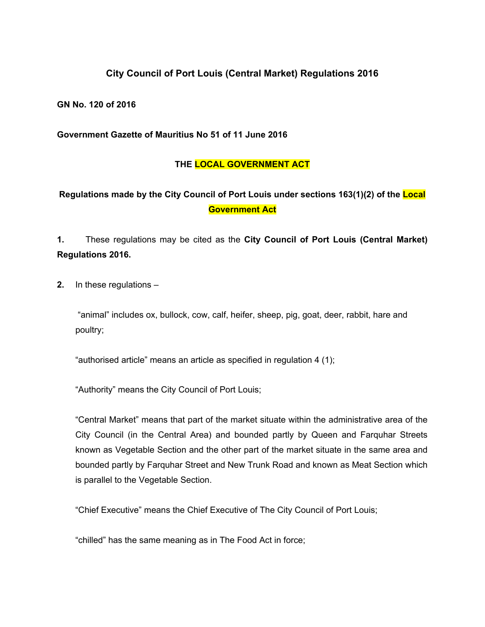## **City Council of Port Louis (Central Market) Regulations 2016**

**GN No. 120 of 2016**

**Government Gazette of Mauritius No 51 of 11 June 2016**

## **THE LOCAL GOVERNMENT ACT**

## **Regulations made by the City Council of Port Louis under sections 163(1)(2) of the Local Government Act**

**1.** These regulations may be cited as the **City Council of Port Louis (Central Market) Regulations 2016.**

**2.** In these regulations –

"animal" includes ox, bullock, cow, calf, heifer, sheep, pig, goat, deer, rabbit, hare and poultry;

"authorised article" means an article as specified in regulation 4 (1);

"Authority" means the City Council of Port Louis;

"Central Market" means that part of the market situate within the administrative area of the City Council (in the Central Area) and bounded partly by Queen and Farquhar Streets known as Vegetable Section and the other part of the market situate in the same area and bounded partly by Farquhar Street and New Trunk Road and known as Meat Section which is parallel to the Vegetable Section.

"Chief Executive" means the Chief Executive of The City Council of Port Louis;

"chilled" has the same meaning as in The Food Act in force;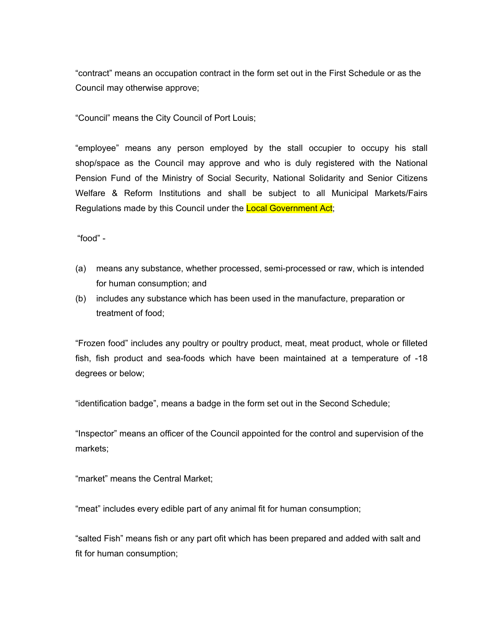"contract" means an occupation contract in the form set out in the First Schedule or as the Council may otherwise approve;

"Council" means the City Council of Port Louis;

"employee" means any person employed by the stall occupier to occupy his stall shop/space as the Council may approve and who is duly registered with the National Pension Fund of the Ministry of Social Security, National Solidarity and Senior Citizens Welfare & Reform Institutions and shall be subject to all Municipal Markets/Fairs Regulations made by this Council under the Local Government Act;

"food" -

- (a) means any substance, whether processed, semi-processed or raw, which is intended for human consumption; and
- (b) includes any substance which has been used in the manufacture, preparation or treatment of food;

"Frozen food" includes any poultry or poultry product, meat, meat product, whole or filleted fish, fish product and sea-foods which have been maintained at a temperature of -18 degrees or below;

"identification badge", means a badge in the form set out in the Second Schedule;

"Inspector" means an officer of the Council appointed for the control and supervision of the markets;

"market" means the Central Market;

"meat" includes every edible part of any animal fit for human consumption;

"salted Fish" means fish or any part ofit which has been prepared and added with salt and fit for human consumption;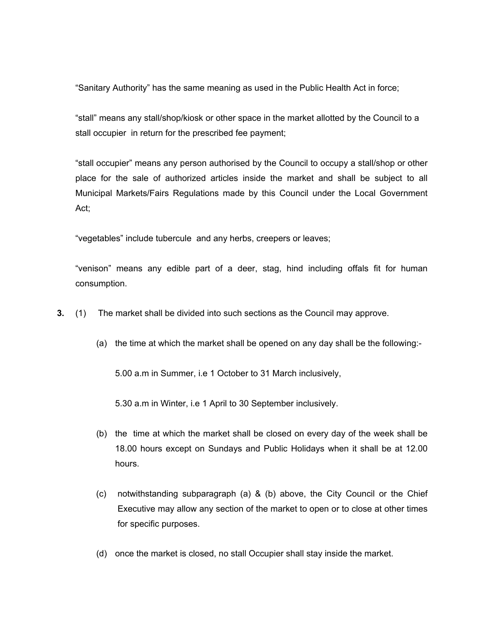"Sanitary Authority" has the same meaning as used in the Public Health Act in force;

"stall" means any stall/shop/kiosk or other space in the market allotted by the Council to a stall occupier in return for the prescribed fee payment;

"stall occupier" means any person authorised by the Council to occupy a stall/shop or other place for the sale of authorized articles inside the market and shall be subject to all Municipal Markets/Fairs Regulations made by this Council under the Local Government Act;

"vegetables" include tubercule and any herbs, creepers or leaves;

"venison" means any edible part of a deer, stag, hind including offals fit for human consumption.

**3.** (1) The market shall be divided into such sections as the Council may approve.

(a) the time at which the market shall be opened on any day shall be the following:-

5.00 a.m in Summer, i.e 1 October to 31 March inclusively,

5.30 a.m in Winter, i.e 1 April to 30 September inclusively.

- (b) the time at which the market shall be closed on every day of the week shall be 18.00 hours except on Sundays and Public Holidays when it shall be at 12.00 hours.
- (c) notwithstanding subparagraph (a) & (b) above, the City Council or the Chief Executive may allow any section of the market to open or to close at other times for specific purposes.
- (d) once the market is closed, no stall Occupier shall stay inside the market.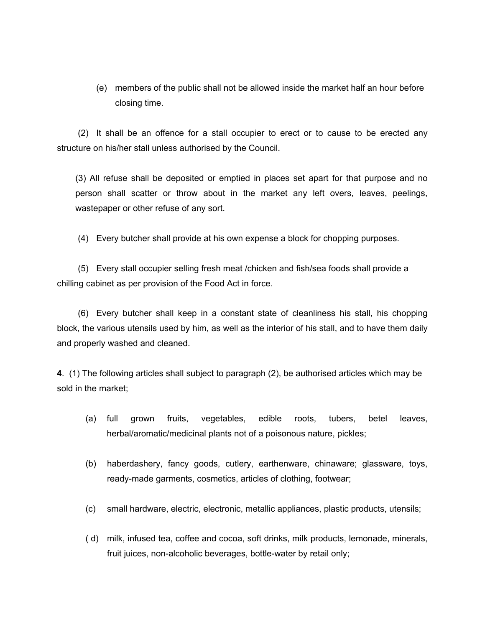(e) members of the public shall not be allowed inside the market half an hour before closing time.

(2) It shall be an offence for a stall occupier to erect or to cause to be erected any structure on his/her stall unless authorised by the Council.

(3) All refuse shall be deposited or emptied in places set apart for that purpose and no person shall scatter or throw about in the market any left overs, leaves, peelings, wastepaper or other refuse of any sort.

(4) Every butcher shall provide at his own expense a block for chopping purposes.

(5) Every stall occupier selling fresh meat /chicken and fish/sea foods shall provide a chilling cabinet as per provision of the Food Act in force.

(6) Every butcher shall keep in a constant state of cleanliness his stall, his chopping block, the various utensils used by him, as well as the interior of his stall, and to have them daily and properly washed and cleaned.

**4**. (1) The following articles shall subject to paragraph (2), be authorised articles which may be sold in the market;

- (a) full grown fruits, vegetables, edible roots, tubers, betel leaves, herbal/aromatic/medicinal plants not of a poisonous nature, pickles;
- (b) haberdashery, fancy goods, cutlery, earthenware, chinaware; glassware, toys, ready-made garments, cosmetics, articles of clothing, footwear;
- (c) small hardware, electric, electronic, metallic appliances, plastic products, utensils;
- ( d) milk, infused tea, coffee and cocoa, soft drinks, milk products, lemonade, minerals, fruit juices, non-alcoholic beverages, bottle-water by retail only;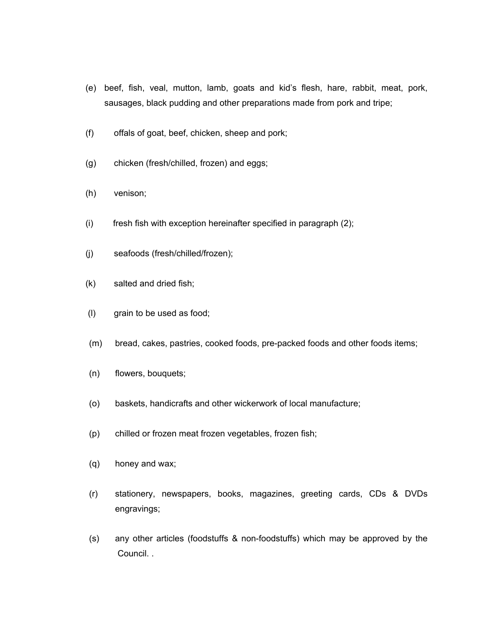- (e) beef, fish, veal, mutton, lamb, goats and kid's flesh, hare, rabbit, meat, pork, sausages, black pudding and other preparations made from pork and tripe;
- (f) offals of goat, beef, chicken, sheep and pork;
- (g) chicken (fresh/chilled, frozen) and eggs;
- (h) venison;
- (i) fresh fish with exception hereinafter specified in paragraph (2);
- (j) seafoods (fresh/chilled/frozen);
- (k) salted and dried fish;
- (l) grain to be used as food;
- (m) bread, cakes, pastries, cooked foods, pre-packed foods and other foods items;
- (n) flowers, bouquets;
- (o) baskets, handicrafts and other wickerwork of local manufacture;
- (p) chilled or frozen meat frozen vegetables, frozen fish;
- (q) honey and wax;
- (r) stationery, newspapers, books, magazines, greeting cards, CDs & DVDs engravings;
- (s) any other articles (foodstuffs & non-foodstuffs) which may be approved by the Council. .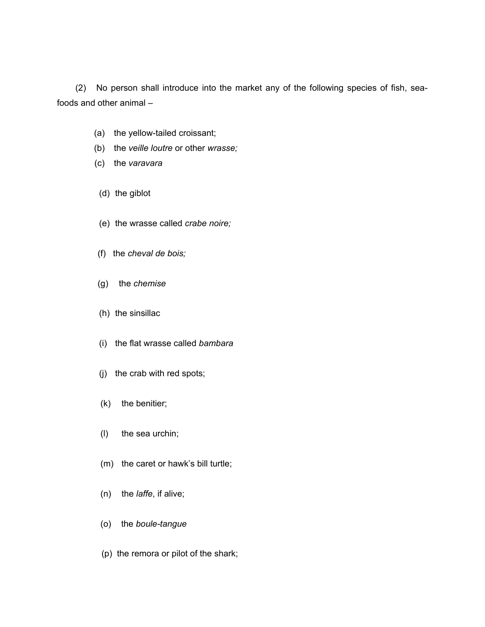(2) No person shall introduce into the market any of the following species of fish, seafoods and other animal –

- (a) the yellow-tailed croissant;
- (b) the *veille loutre* or other *wrasse;*
- (c) the *varavara*
- (d) the giblot
- (e) the wrasse called *crabe noire;*
- (f) the *cheval de bois;*
- (g) the *chemise*
- (h) the sinsillac
- (i) the flat wrasse called *bambara*
- (j) the crab with red spots;
- (k) the benitier;
- (l) the sea urchin;
- (m) the caret or hawk's bill turtle;
- (n) the *laffe*, if alive;
- (o)the *boule-tangue*
- (p) the remora or pilot of the shark;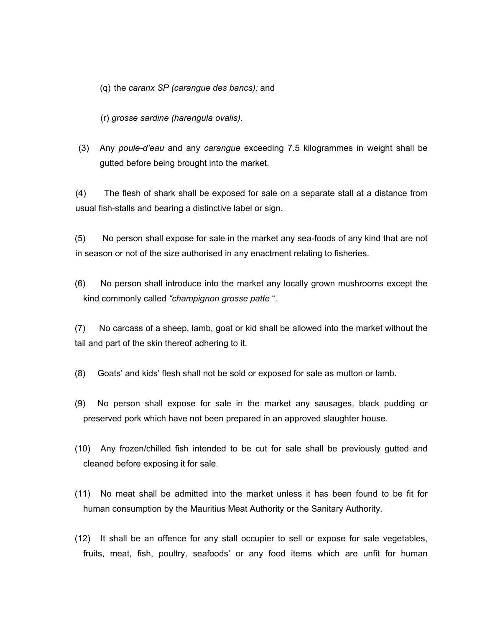(q) the *caranx SP (carangue des bancs);* and

(r) *grosse sardine (harengula ovalis).*

(3) Any *poule-d'eau* and any *carangue* exceeding 7.5 kilogrammes in weight shall be gutted before being brought into the market.

(4) The flesh of shark shall be exposed for sale on a separate stall at a distance from usual fish-stalls and bearing a distinctive label or sign.

(5)No person shall expose for sale in the market any sea-foods of any kind that are not in season or not of the size authorised in any enactment relating to fisheries.

(6) No person shall introduce into the market any locally grown mushrooms except the kind commonly called *"champignon grosse patte* ".

(7) No carcass of a sheep, lamb, goat or kid shall be allowed into the market without the tail and part of the skin thereof adhering to it.

- (8) Goats' and kids' flesh shall not be sold or exposed for sale as mutton or lamb.
- (9) No person shall expose for sale in the market any sausages, black pudding or preserved pork which have not been prepared in an approved slaughter house.
- (10) Any frozen/chilled fish intended to be cut for sale shall be previously gutted and cleaned before exposing it for sale.
- (11) No meat shall be admitted into the market unless it has been found to be fit for human consumption by the Mauritius Meat Authority or the Sanitary Authority.
- (12) It shall be an offence for any stall occupier to sell or expose for sale vegetables, fruits, meat, fish, poultry, seafoods' or any food items which are unfit for human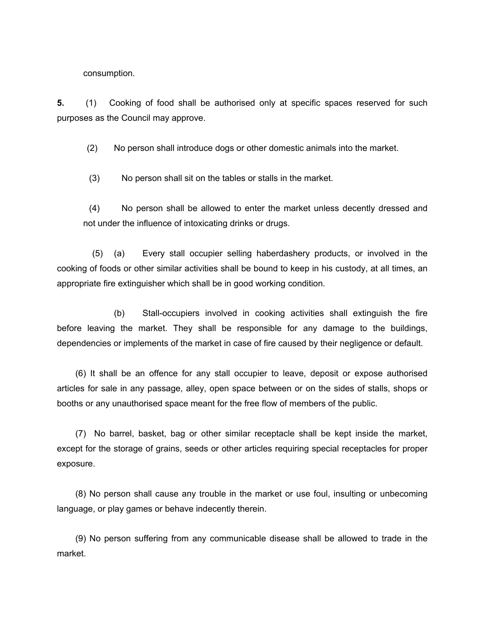consumption.

**5.** (1) Cooking of food shall be authorised only at specific spaces reserved for such purposes as the Council may approve.

(2) No person shall introduce dogs or other domestic animals into the market.

(3) No person shall sit on the tables or stalls in the market.

(4) No person shall be allowed to enter the market unless decently dressed and not under the influence of intoxicating drinks or drugs.

(5) (a) Every stall occupier selling haberdashery products, or involved in the cooking of foods or other similar activities shall be bound to keep in his custody, at all times, an appropriate fire extinguisher which shall be in good working condition.

(b) Stall-occupiers involved in cooking activities shall extinguish the fire before leaving the market. They shall be responsible for any damage to the buildings, dependencies or implements of the market in case of fire caused by their negligence or default.

(6) It shall be an offence for any stall occupier to leave, deposit or expose authorised articles for sale in any passage, alley, open space between or on the sides of stalls, shops or booths or any unauthorised space meant for the free flow of members of the public.

(7) No barrel, basket, bag or other similar receptacle shall be kept inside the market, except for the storage of grains, seeds or other articles requiring special receptacles for proper exposure.

(8) No person shall cause any trouble in the market or use foul, insulting or unbecoming language, or play games or behave indecently therein.

(9) No person suffering from any communicable disease shall be allowed to trade in the market.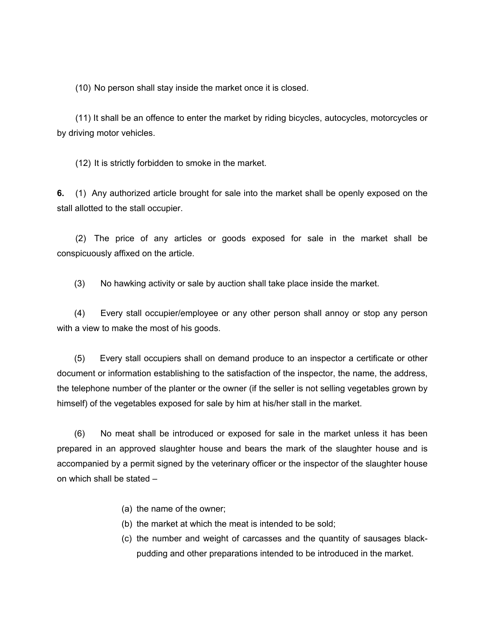(10) No person shall stay inside the market once it is closed.

(11) It shall be an offence to enter the market by riding bicycles, autocycles, motorcycles or by driving motor vehicles.

(12) It is strictly forbidden to smoke in the market.

**6.** (1) Any authorized article brought for sale into the market shall be openly exposed on the stall allotted to the stall occupier.

(2) The price of any articles or goods exposed for sale in the market shall be conspicuously affixed on the article.

(3) No hawking activity or sale by auction shall take place inside the market.

(4) Every stall occupier/employee or any other person shall annoy or stop any person with a view to make the most of his goods.

(5)Every stall occupiers shall on demand produce to an inspector a certificate or other document or information establishing to the satisfaction of the inspector, the name, the address, the telephone number of the planter or the owner (if the seller is not selling vegetables grown by himself) of the vegetables exposed for sale by him at his/her stall in the market.

(6) No meat shall be introduced or exposed for sale in the market unless it has been prepared in an approved slaughter house and bears the mark of the slaughter house and is accompanied by a permit signed by the veterinary officer or the inspector of the slaughter house on which shall be stated –

- (a) the name of the owner;
- (b) the market at which the meat is intended to be sold;
- (c) the number and weight of carcasses and the quantity of sausages blackpudding and other preparations intended to be introduced in the market.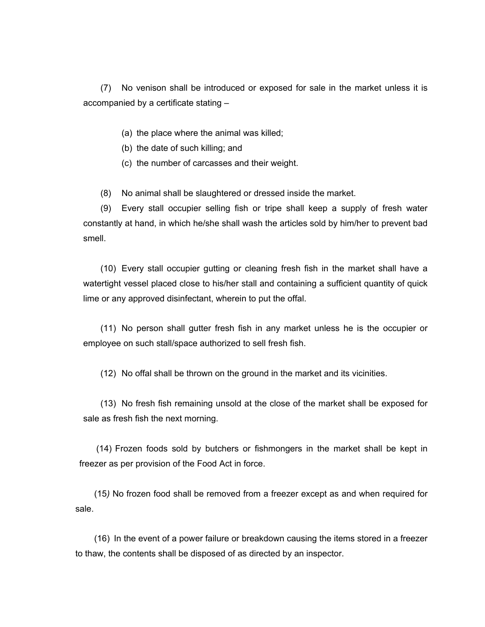(7) No venison shall be introduced or exposed for sale in the market unless it is accompanied by a certificate stating –

- (a) the place where the animal was killed;
- (b) the date of such killing; and
- (c) the number of carcasses and their weight.

(8) No animal shall be slaughtered or dressed inside the market.

(9) Every stall occupier selling fish or tripe shall keep a supply of fresh water constantly at hand, in which he/she shall wash the articles sold by him/her to prevent bad smell.

(10) Every stall occupier gutting or cleaning fresh fish in the market shall have a watertight vessel placed close to his/her stall and containing a sufficient quantity of quick lime or any approved disinfectant, wherein to put the offal.

(11) No person shall gutter fresh fish in any market unless he is the occupier or employee on such stall/space authorized to sell fresh fish.

(12) No offal shall be thrown on the ground in the market and its vicinities.

(13) No fresh fish remaining unsold at the close of the market shall be exposed for sale as fresh fish the next morning.

(14) Frozen foods sold by butchers or fishmongers in the market shall be kept in freezer as per provision of the Food Act in force.

(15*)* No frozen food shall be removed from a freezer except as and when required for sale.

(16) In the event of a power failure or breakdown causing the items stored in a freezer to thaw, the contents shall be disposed of as directed by an inspector.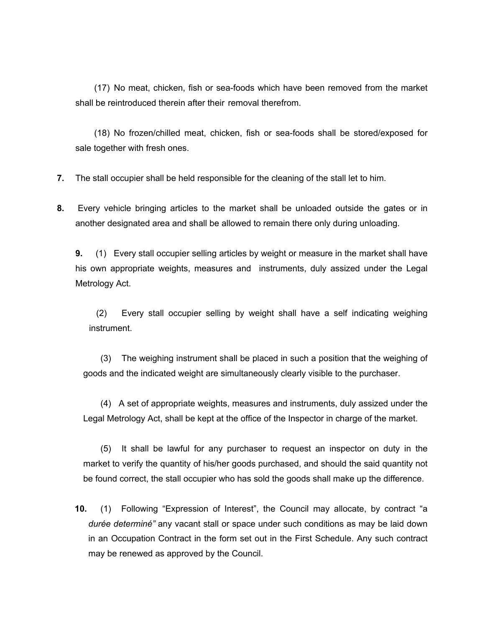(17) No meat, chicken, fish or sea-foods which have been removed from the market shall be reintroduced therein after their removal therefrom.

(18) No frozen/chilled meat, chicken, fish or sea-foods shall be stored/exposed for sale together with fresh ones.

- **7.** The stall occupier shall be held responsible for the cleaning of the stall let to him.
- **8.** Every vehicle bringing articles to the market shall be unloaded outside the gates or in another designated area and shall be allowed to remain there only during unloading.

**9.** (1) Every stall occupier selling articles by weight or measure in the market shall have his own appropriate weights, measures and instruments, duly assized under the Legal Metrology Act.

(2) Every stall occupier selling by weight shall have a self indicating weighing instrument.

(3) The weighing instrument shall be placed in such a position that the weighing of goods and the indicated weight are simultaneously clearly visible to the purchaser.

(4) A set of appropriate weights, measures and instruments, duly assized under the Legal Metrology Act, shall be kept at the office of the Inspector in charge of the market.

(5) It shall be lawful for any purchaser to request an inspector on duty in the market to verify the quantity of his/her goods purchased, and should the said quantity not be found correct, the stall occupier who has sold the goods shall make up the difference.

**10.** (1) Following "Expression of Interest", the Council may allocate, by contract "a *durée determiné"* any vacant stall or space under such conditions as may be laid down in an Occupation Contract in the form set out in the First Schedule. Any such contract may be renewed as approved by the Council.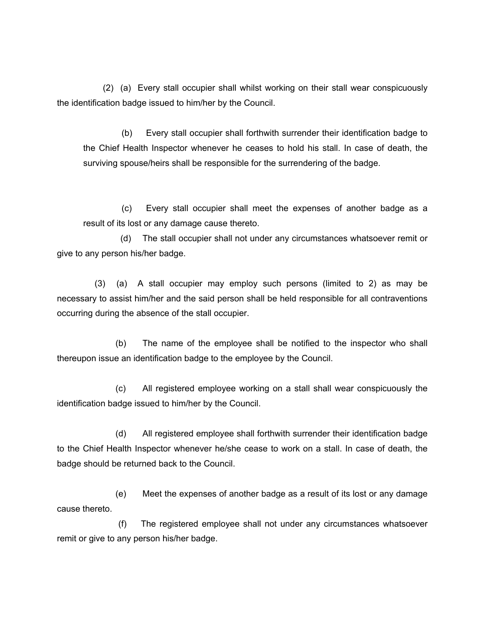(2) (a) Every stall occupier shall whilst working on their stall wear conspicuously the identification badge issued to him/her by the Council.

(b) Every stall occupier shall forthwith surrender their identification badge to the Chief Health Inspector whenever he ceases to hold his stall. In case of death, the surviving spouse/heirs shall be responsible for the surrendering of the badge.

(c) Every stall occupier shall meet the expenses of another badge as a result of its lost or any damage cause thereto.

 (d) The stall occupier shall not under any circumstances whatsoever remit or give to any person his/her badge.

 (3) (a) A stall occupier may employ such persons (limited to 2) as may be necessary to assist him/her and the said person shall be held responsible for all contraventions occurring during the absence of the stall occupier.

 (b) The name of the employee shall be notified to the inspector who shall thereupon issue an identification badge to the employee by the Council.

 (c) All registered employee working on a stall shall wear conspicuously the identification badge issued to him/her by the Council.

 (d) All registered employee shall forthwith surrender their identification badge to the Chief Health Inspector whenever he/she cease to work on a stall. In case of death, the badge should be returned back to the Council.

 (e) Meet the expenses of another badge as a result of its lost or any damage cause thereto.

 (f) The registered employee shall not under any circumstances whatsoever remit or give to any person his/her badge.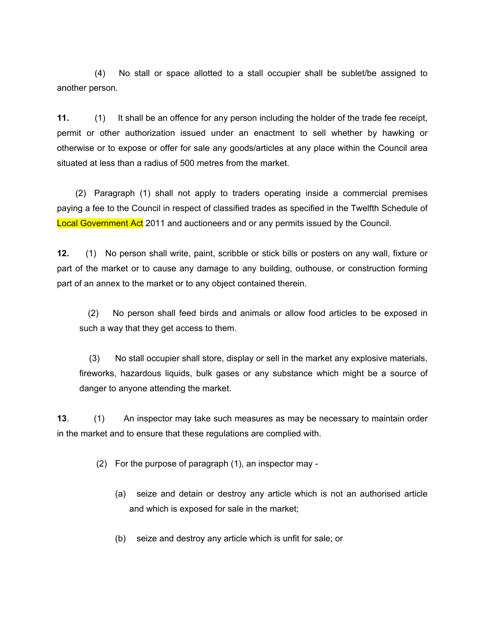(4)No stall or space allotted to a stall occupier shall be sublet/be assigned to another person.

**11.** (1) It shall be an offence for any person including the holder of the trade fee receipt, permit or other authorization issued under an enactment to sell whether by hawking or otherwise or to expose or offer for sale any goods/articles at any place within the Council area situated at less than a radius of 500 metres from the market.

(2) Paragraph (1) shall not apply to traders operating inside a commercial premises paying a fee to the Council in respect of classified trades as specified in the Twelfth Schedule of Local Government Act 2011 and auctioneers and or any permits issued by the Council.

**12.** (1) No person shall write, paint, scribble or stick bills or posters on any wall, fixture or part of the market or to cause any damage to any building, outhouse, or construction forming part of an annex to the market or to any object contained therein.

(2) No person shall feed birds and animals or allow food articles to be exposed in such a way that they get access to them.

(3) No stall occupier shall store, display or sell in the market any explosive materials, fireworks, hazardous liquids, bulk gases or any substance which might be a source of danger to anyone attending the market.

**13**. (1) An inspector may take such measures as may be necessary to maintain order in the market and to ensure that these regulations are complied with.

(2) For the purpose of paragraph (1), an inspector may -

- (a) seize and detain or destroy any article which is not an authorised article and which is exposed for sale in the market;
- (b) seize and destroy any article which is unfit for sale; or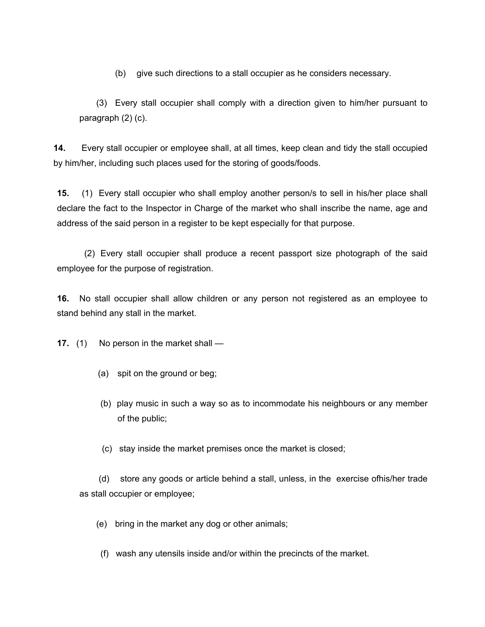(b) give such directions to a stall occupier as he considers necessary.

(3) Every stall occupier shall comply with a direction given to him/her pursuant to paragraph (2) (c).

**14.** Every stall occupier or employee shall, at all times, keep clean and tidy the stall occupied by him/her, including such places used for the storing of goods/foods.

**15.** (1) Every stall occupier who shall employ another person/s to sell in his/her place shall declare the fact to the Inspector in Charge of the market who shall inscribe the name, age and address of the said person in a register to be kept especially for that purpose.

 (2) Every stall occupier shall produce a recent passport size photograph of the said employee for the purpose of registration.

**16.** No stall occupier shall allow children or any person not registered as an employee to stand behind any stall in the market.

**17.** (1) No person in the market shall —

- (a) spit on the ground or beg;
- (b) play music in such a way so as to incommodate his neighbours or any member of the public;
- (c) stay inside the market premises once the market is closed;

(d) store any goods or article behind a stall, unless, in the exercise ofhis/her trade as stall occupier or employee;

- (e) bring in the market any dog or other animals;
- (f) wash any utensils inside and/or within the precincts of the market.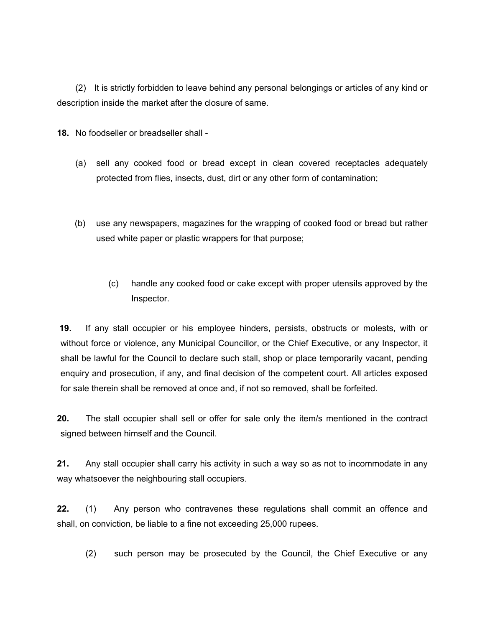(2) It is strictly forbidden to leave behind any personal belongings or articles of any kind or description inside the market after the closure of same.

**18.** No foodseller or breadseller shall -

- (a) sell any cooked food or bread except in clean covered receptacles adequately protected from flies, insects, dust, dirt or any other form of contamination;
- (b) use any newspapers, magazines for the wrapping of cooked food or bread but rather used white paper or plastic wrappers for that purpose;
	- (c) handle any cooked food or cake except with proper utensiIs approved by the Inspector.

**19.** If any stall occupier or his employee hinders, persists, obstructs or molests, with or without force or violence, any Municipal Councillor, or the Chief Executive, or any Inspector, it shall be lawful for the Council to declare such stall, shop or place temporarily vacant, pending enquiry and prosecution, if any, and final decision of the competent court. All articles exposed for sale therein shall be removed at once and, if not so removed, shall be forfeited.

**20.** The stall occupier shall sell or offer for sale only the item/s mentioned in the contract signed between himself and the Council.

**21.** Any stall occupier shall carry his activity in such a way so as not to incommodate in any way whatsoever the neighbouring stall occupiers.

**22.** (1) Any person who contravenes these regulations shall commit an offence and shall, on conviction, be liable to a fine not exceeding 25,000 rupees.

(2) such person may be prosecuted by the Council, the Chief Executive or any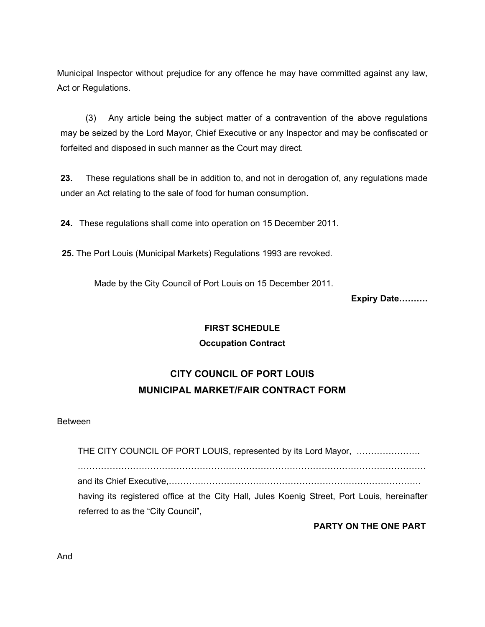Municipal Inspector without prejudice for any offence he may have committed against any law, Act or Regulations.

(3) Any article being the subject matter of a contravention of the above regulations may be seized by the Lord Mayor, Chief Executive or any Inspector and may be confiscated or forfeited and disposed in such manner as the Court may direct.

**23.** These regulations shall be in addition to, and not in derogation of, any regulations made under an Act relating to the sale of food for human consumption.

**24.** These regulations shall come into operation on 15 December 2011.

**25.** The Port Louis (Municipal Markets) Regulations 1993 are revoked.

Made by the City Council of Port Louis on 15 December 2011.

**Expiry Date……….**

## **FIRST SCHEDULE**

## **Occupation Contract**

# **CITY COUNCIL OF PORT LOUIS MUNICIPAL MARKET/FAIR CONTRACT FORM**

#### Between

THE CITY COUNCIL OF PORT LOUIS, represented by its Lord Mayor, …………………. ………………………………………………………………………………………………………… and its Chief Executive,…………………………………………………………………………… having its registered office at the City Hall, Jules Koenig Street, Port Louis, hereinafter referred to as the "City Council",

**PARTY ON THE ONE PART**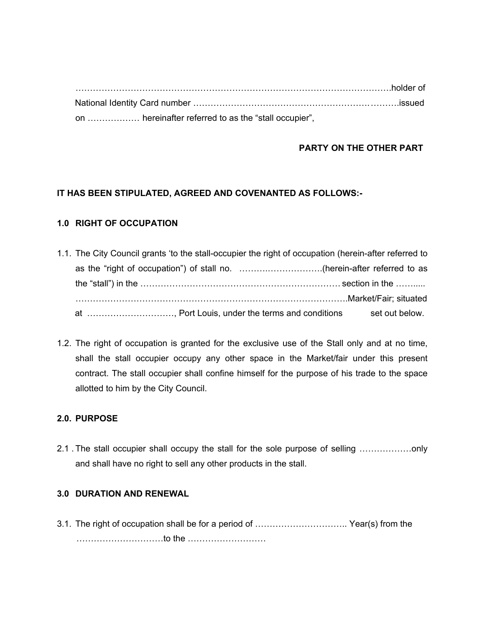……………………………………………………………………………………………….holder of National Identity Card number …………………………………………………….……….issued on ……………… hereinafter referred to as the "stall occupier",

## **PARTY ON THE OTHER PART**

## **IT HAS BEEN STIPULATED, AGREED AND COVENANTED AS FOLLOWS:-**

## **1.0 RIGHT OF OCCUPATION**

- 1.1. The City Council grants 'to the stall-occupier the right of occupation (herein-after referred to as the "right of occupation") of stall no. ……….……………….(herein-after referred to as the "stall") in the …………………………………………………………… section in the ……..... ………………………………………………………………………………….Market/Fair; situated at ............................., Port Louis, under the terms and conditions set out below.
- 1.2. The right of occupation is granted for the exclusive use of the Stall only and at no time, shall the stall occupier occupy any other space in the Market/fair under this present contract. The stall occupier shall confine himself for the purpose of his trade to the space allotted to him by the City Council.

## **2.0. PURPOSE**

2.1 . The stall occupier shall occupy the stall for the sole purpose of selling ………………only and shall have no right to sell any other products in the stall.

## **3.0 DURATION AND RENEWAL**

3.1. The right of occupation shall be for a period of ………………………….. Year(s) from the …………………………to the ………………………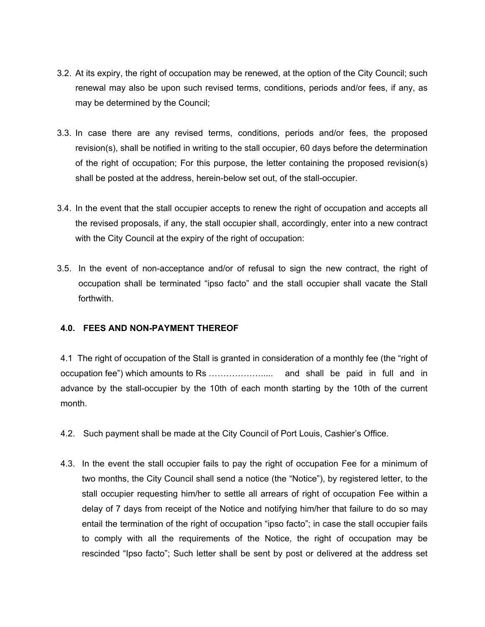- 3.2. At its expiry, the right of occupation may be renewed, at the option of the City Council; such renewal may also be upon such revised terms, conditions, periods and/or fees, if any, as may be determined by the Council;
- 3.3. In case there are any revised terms, conditions, periods and/or fees, the proposed revision(s), shall be notified in writing to the stall occupier, 60 days before the determination of the right of occupation; For this purpose, the letter containing the proposed revision(s) shall be posted at the address, herein-below set out, of the stall-occupier.
- 3.4. In the event that the stall occupier accepts to renew the right of occupation and accepts all the revised proposals, if any, the stall occupier shall, accordingly, enter into a new contract with the City Council at the expiry of the right of occupation:
- 3.5. In the event of non-acceptance and/or of refusal to sign the new contract, the right of occupation shall be terminated "ipso facto" and the stall occupier shall vacate the Stall forthwith.

## **4.0. FEES AND NON-PAYMENT THEREOF**

4.1 The right of occupation of the Stall is granted in consideration of a monthly fee (the "right of occupation fee") which amounts to Rs ………………..... and shall be paid in full and in advance by the stall-occupier by the 10th of each month starting by the 10th of the current month.

- 4.2. Such payment shall be made at the City Council of Port Louis, Cashier's Office.
- 4.3. In the event the stall occupier fails to pay the right of occupation Fee for a minimum of two months, the City Council shall send a notice (the "Notice"), by registered letter, to the stall occupier requesting him/her to settle all arrears of right of occupation Fee within a delay of 7 days from receipt of the Notice and notifying him/her that failure to do so may entail the termination of the right of occupation "ipso facto"; in case the stall occupier fails to comply with all the requirements of the Notice, the right of occupation may be rescinded "Ipso facto"; Such letter shall be sent by post or delivered at the address set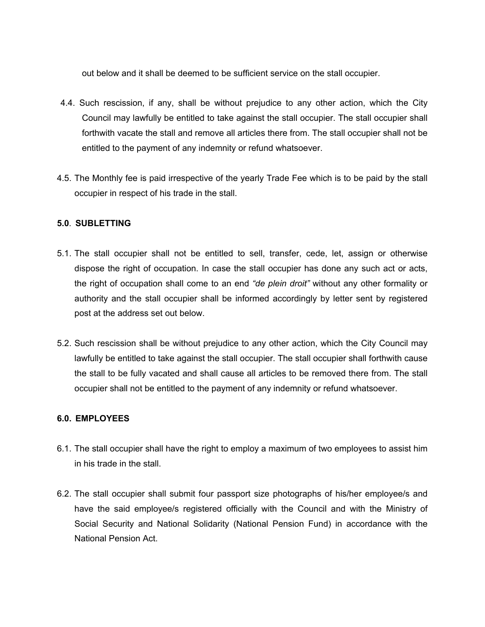out below and it shall be deemed to be sufficient service on the stall occupier.

- 4.4. Such rescission, if any, shall be without prejudice to any other action, which the City Council may lawfully be entitled to take against the stall occupier. The stall occupier shall forthwith vacate the stall and remove all articles there from. The stall occupier shall not be entitled to the payment of any indemnity or refund whatsoever.
- 4.5. The Monthly fee is paid irrespective of the yearly Trade Fee which is to be paid by the stall occupier in respect of his trade in the stall.

## **5.0***.* **SUBLETTING**

- 5.1. The stall occupier shall not be entitled to sell, transfer, cede, let, assign or otherwise dispose the right of occupation. In case the stall occupier has done any such act or acts, the right of occupation shall come to an end *"de plein droit"* without any other formality or authority and the stall occupier shall be informed accordingly by letter sent by registered post at the address set out below.
- 5.2. Such rescission shall be without prejudice to any other action, which the City Council may lawfully be entitled to take against the stall occupier. The stall occupier shall forthwith cause the stall to be fully vacated and shall cause all articles to be removed there from. The stall occupier shall not be entitled to the payment of any indemnity or refund whatsoever.

## **6.0. EMPLOYEES**

- 6.1. The stall occupier shall have the right to employ a maximum of two employees to assist him in his trade in the stall.
- 6.2. The stall occupier shall submit four passport size photographs of his/her employee/s and have the said employee/s registered officially with the Council and with the Ministry of Social Security and National Solidarity (National Pension Fund) in accordance with the National Pension Act.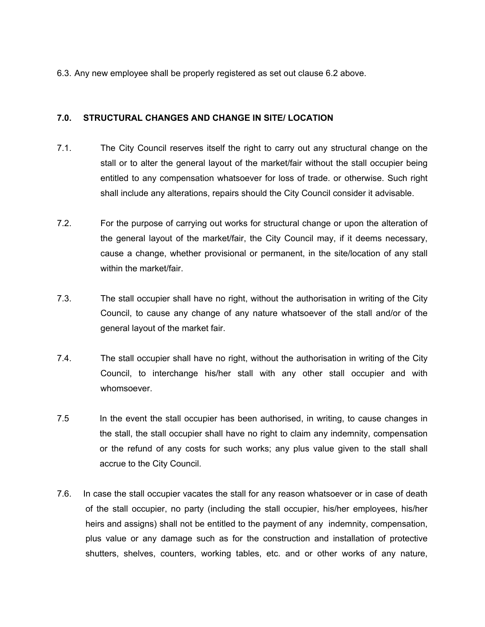6.3. Any new employee shall be properly registered as set out clause 6.2 above.

## **7.0. STRUCTURAL CHANGES AND CHANGE IN SITE/ LOCATION**

- 7.1. The City Council reserves itself the right to carry out any structural change on the stall or to alter the general layout of the market/fair without the stall occupier being entitled to any compensation whatsoever for loss of trade. or otherwise. Such right shall include any alterations, repairs should the City Council consider it advisable.
- 7.2. For the purpose of carrying out works for structural change or upon the alteration of the general layout of the market/fair, the City Council may, if it deems necessary, cause a change, whether provisional or permanent, in the site/location of any stall within the market/fair.
- 7.3. The stall occupier shall have no right, without the authorisation in writing of the City Council, to cause any change of any nature whatsoever of the stall and/or of the general layout of the market fair.
- 7.4. The stall occupier shall have no right, without the authorisation in writing of the City Council, to interchange his/her stall with any other stall occupier and with whomsoever.
- In the event the stall occupier has been authorised, in writing, to cause changes in the stall, the stall occupier shall have no right to claim any indemnity, compensation or the refund of any costs for such works; any plus value given to the stall shall accrue to the City Council. 7.5
- 7.6. In case the stall occupier vacates the stall for any reason whatsoever or in case of death of the stall occupier, no party (including the stall occupier, his/her employees, his/her heirs and assigns) shall not be entitled to the payment of any indemnity, compensation, plus value or any damage such as for the construction and installation of protective shutters, shelves, counters, working tables, etc. and or other works of any nature,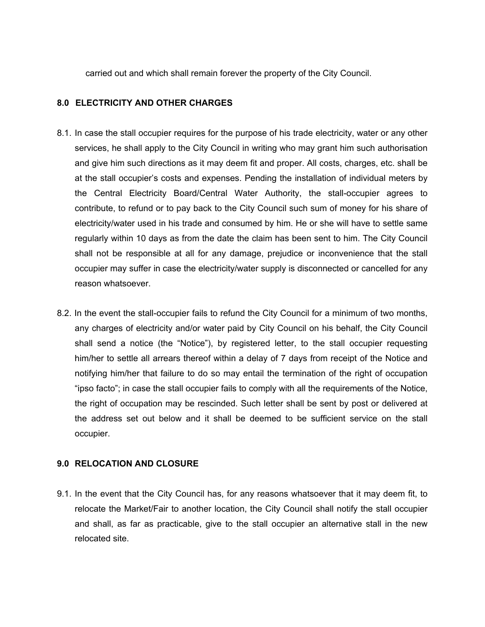carried out and which shall remain forever the property of the City Council.

## **8.0 ELECTRICITY AND OTHER CHARGES**

- 8.1. In case the stall occupier requires for the purpose of his trade electricity, water or any other services, he shall apply to the City Council in writing who may grant him such authorisation and give him such directions as it may deem fit and proper. All costs, charges, etc. shall be at the stall occupier's costs and expenses. Pending the installation of individual meters by the Central Electricity Board/Central Water Authority, the stall-occupier agrees to contribute, to refund or to pay back to the City Council such sum of money for his share of electricity/water used in his trade and consumed by him. He or she will have to settle same regularly within 10 days as from the date the claim has been sent to him. The City Council shall not be responsible at all for any damage, prejudice or inconvenience that the stall occupier may suffer in case the electricity/water supply is disconnected or cancelled for any reason whatsoever.
- 8.2. In the event the stall-occupier fails to refund the City Council for a minimum of two months, any charges of electricity and/or water paid by City Council on his behalf, the City Council shall send a notice (the "Notice"), by registered letter, to the stall occupier requesting him/her to settle all arrears thereof within a delay of 7 days from receipt of the Notice and notifying him/her that failure to do so may entail the termination of the right of occupation "ipso facto"; in case the stall occupier fails to comply with all the requirements of the Notice, the right of occupation may be rescinded. Such letter shall be sent by post or delivered at the address set out below and it shall be deemed to be sufficient service on the stall occupier.

## **9.0 RELOCATION AND CLOSURE**

9.1. In the event that the City Council has, for any reasons whatsoever that it may deem fit, to relocate the Market/Fair to another location, the City Council shall notify the stall occupier and shall, as far as practicable, give to the stall occupier an alternative stall in the new relocated site.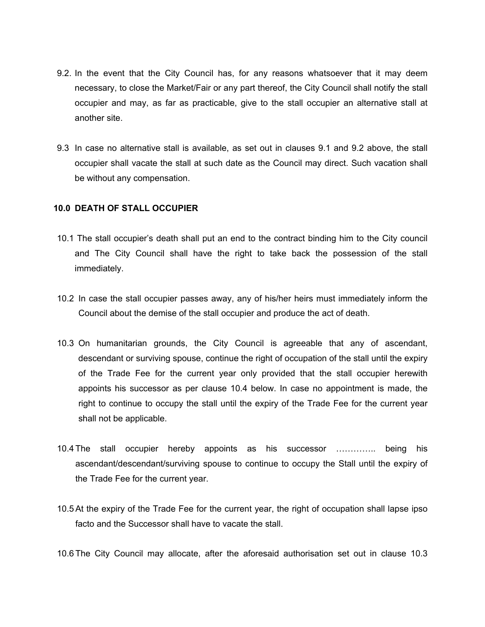- 9.2. In the event that the City Council has, for any reasons whatsoever that it may deem necessary, to close the Market/Fair or any part thereof, the City Council shall notify the stall occupier and may, as far as practicable, give to the stall occupier an alternative stall at another site.
- 9.3 In case no alternative stall is available, as set out in clauses 9.1 and 9.2 above, the stall occupier shall vacate the stall at such date as the Council may direct. Such vacation shall be without any compensation.

#### **10.0 DEATH OF STALL OCCUPIER**

- 10.1 The stall occupier's death shall put an end to the contract binding him to the City council and The City Council shall have the right to take back the possession of the stall immediately.
- 10.2 In case the stall occupier passes away, any of his/her heirs must immediately inform the Council about the demise of the stall occupier and produce the act of death.
- 10.3 On humanitarian grounds, the City Council is agreeable that any of ascendant, descendant or surviving spouse, continue the right of occupation of the stall until the expiry of the Trade Fee for the current year only provided that the stall occupier herewith appoints his successor as per clause 10.4 below. In case no appointment is made, the right to continue to occupy the stall until the expiry of the Trade Fee for the current year shall not be applicable.
- 10.4 The stall occupier hereby appoints as his successor ………….. being his ascendant/descendant/surviving spouse to continue to occupy the Stall until the expiry of the Trade Fee for the current year.
- 10.5At the expiry of the Trade Fee for the current year, the right of occupation shall lapse ipso facto and the Successor shall have to vacate the stall.

10.6 The City Council may allocate, after the aforesaid authorisation set out in clause 10.3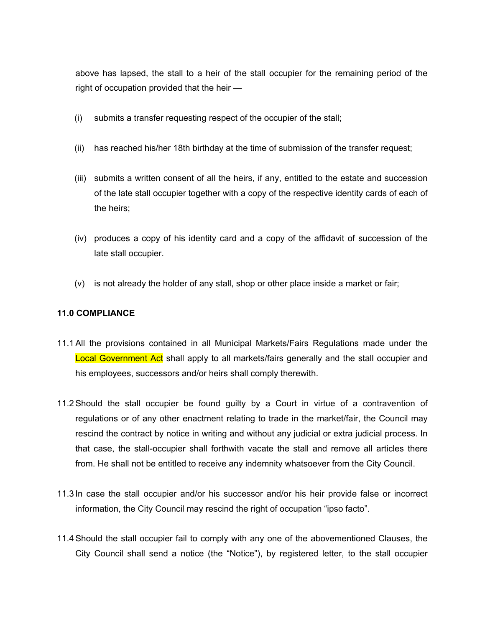above has lapsed, the stall to a heir of the stall occupier for the remaining period of the right of occupation provided that the heir —

- (i) submits a transfer requesting respect of the occupier of the stall;
- (ii) has reached his/her 18th birthday at the time of submission of the transfer request;
- (iii) submits a written consent of all the heirs, if any, entitled to the estate and succession of the late stall occupier together with a copy of the respective identity cards of each of the heirs;
- (iv) produces a copy of his identity card and a copy of the affidavit of succession of the late stall occupier.
- (v) is not already the holder of any stall, shop or other place inside a market or fair;

## **11.0 COMPLIANCE**

- 11.1All the provisions contained in all Municipal Markets/Fairs Regulations made under the Local Government Act shall apply to all markets/fairs generally and the stall occupier and his employees, successors and/or heirs shall comply therewith.
- 11.2Should the stall occupier be found guilty by a Court in virtue of a contravention of regulations or of any other enactment relating to trade in the market/fair, the Council may rescind the contract by notice in writing and without any judicial or extra judicial process. In that case, the stall-occupier shall forthwith vacate the stall and remove all articles there from. He shall not be entitled to receive any indemnity whatsoever from the City Council.
- 11.3 In case the stall occupier and/or his successor and/or his heir provide false or incorrect information, the City Council may rescind the right of occupation "ipso facto".
- 11.4Should the stall occupier fail to comply with any one of the abovementioned Clauses, the City Council shall send a notice (the "Notice"), by registered letter, to the stall occupier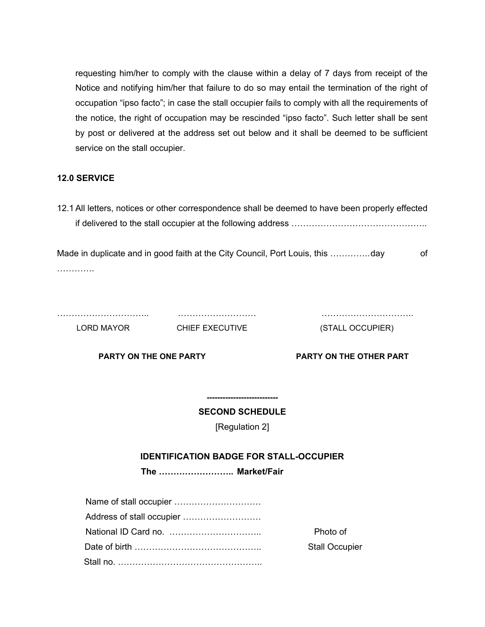requesting him/her to comply with the clause within a delay of 7 days from receipt of the Notice and notifying him/her that failure to do so may entail the termination of the right of occupation "ipso facto"; in case the stall occupier fails to comply with all the requirements of the notice, the right of occupation may be rescinded "ipso facto". Such letter shall be sent by post or delivered at the address set out below and it shall be deemed to be sufficient service on the stall occupier.

## **12.0 SERVICE**

12.1All letters, notices or other correspondence shall be deemed to have been properly effected if delivered to the stall occupier at the following address ………………………………………..

Made in duplicate and in good faith at the City Council, Port Louis, this ...................day of ………….

LORD MAYOR CHIEF EXECUTIVE (STALL OCCUPIER)

………………………….. ……………………… …………………………..

**PARTY ON THE ONE PARTY PARTY ON THE OTHER PART**

**--------------------------- SECOND SCHEDULE**

[Regulation 2]

## **IDENTIFICATION BADGE FOR STALL-OCCUPIER**

**The …………………….. Market/Fair**

| Photo of              |
|-----------------------|
| <b>Stall Occupier</b> |
|                       |